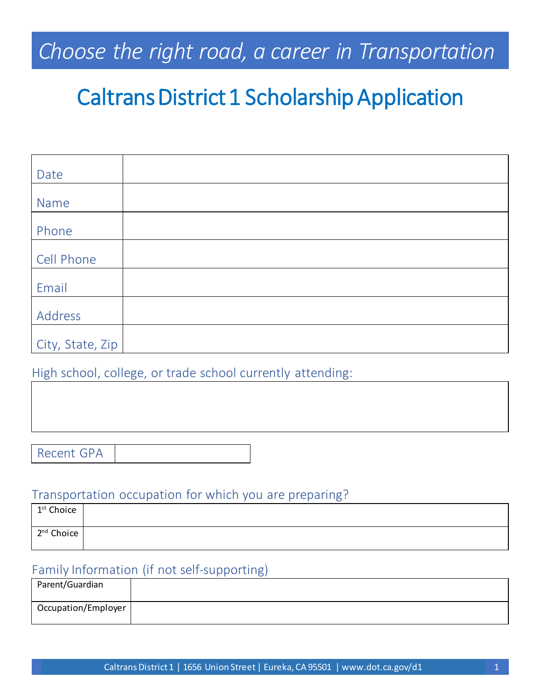## Choose the right road, a career in Transportation

# Caltrans District 1 Scholarship Application

| Date             |  |
|------------------|--|
|                  |  |
| Name             |  |
|                  |  |
| Phone            |  |
|                  |  |
| Cell Phone       |  |
|                  |  |
| Email            |  |
|                  |  |
| Address          |  |
|                  |  |
| City, State, Zip |  |

High school, college, or trade school currently attending:

### Transportation occupation for which you are preparing?

| 1 <sup>st</sup> Choice |  |
|------------------------|--|
| $2^{nd}$ Choice        |  |

### Family Information (if not self-supporting)

| Parent/Guardian     |  |
|---------------------|--|
| Occupation/Employer |  |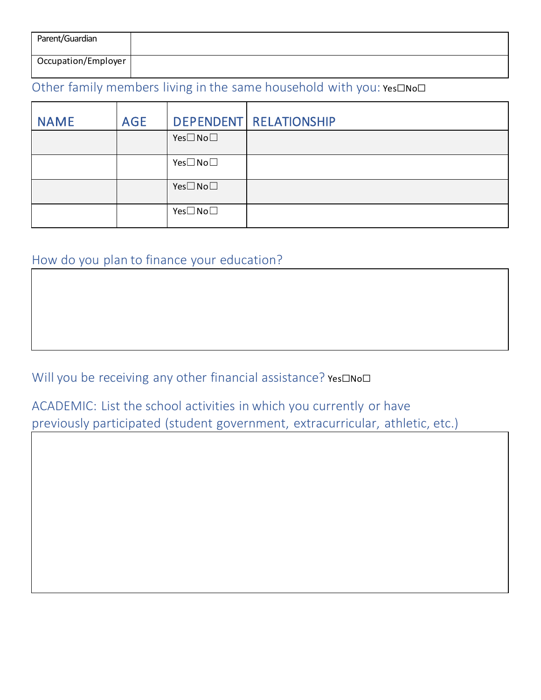| Parent/Guardian     |  |
|---------------------|--|
| Occupation/Employer |  |

## Other family members living in the same household with you: Yes□No□

| <b>NAME</b> | <b>AGE</b> |                    | <b>DEPENDENT RELATIONSHIP</b> |
|-------------|------------|--------------------|-------------------------------|
|             |            | $Yes \Box No \Box$ |                               |
|             |            | $Yes \Box No \Box$ |                               |
|             |            | $Yes \Box No \Box$ |                               |
|             |            | $Yes \Box No \Box$ |                               |

## How do you plan to finance your education?

Will you be receiving any other financial assistance? Yes□No□

ACADEMIC: List the school activities in which you currently or have previously participated (student government, extracurricular, athletic, etc.)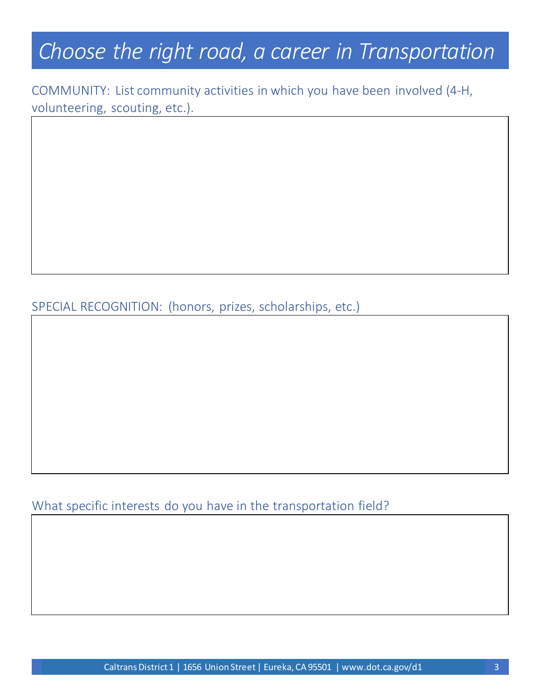## *Choose the right road, a career in Transportation*

COMMUNITY: List community activities in which you have been involved (4-H, volunteering, scouting, etc.).

SPECIAL RECOGNITION: (honors, prizes, scholarships, etc.)

What specific interests do you have in the transportation field?